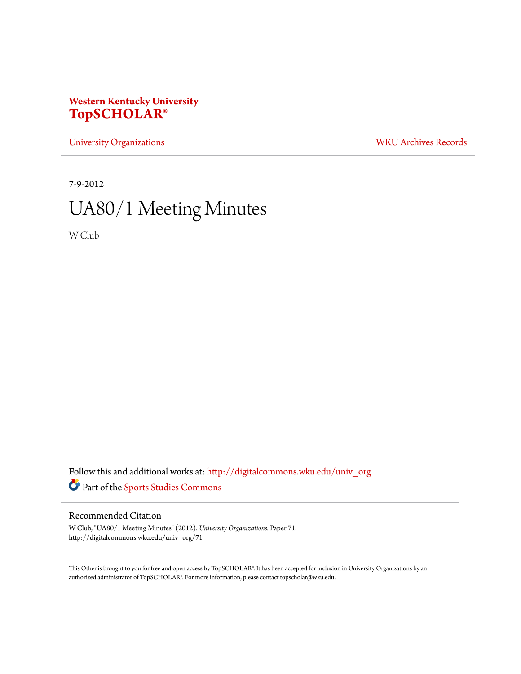# **Western Kentucky University [TopSCHOLAR®](http://digitalcommons.wku.edu?utm_source=digitalcommons.wku.edu%2Funiv_org%2F71&utm_medium=PDF&utm_campaign=PDFCoverPages)**

[University Organizations](http://digitalcommons.wku.edu/univ_org?utm_source=digitalcommons.wku.edu%2Funiv_org%2F71&utm_medium=PDF&utm_campaign=PDFCoverPages) [WKU Archives Records](http://digitalcommons.wku.edu/dlsc_ua_records?utm_source=digitalcommons.wku.edu%2Funiv_org%2F71&utm_medium=PDF&utm_campaign=PDFCoverPages)

7-9-2012

# UA80/1 Meeting Minutes

W Club

Follow this and additional works at: [http://digitalcommons.wku.edu/univ\\_org](http://digitalcommons.wku.edu/univ_org?utm_source=digitalcommons.wku.edu%2Funiv_org%2F71&utm_medium=PDF&utm_campaign=PDFCoverPages) Part of the [Sports Studies Commons](http://network.bepress.com/hgg/discipline/1198?utm_source=digitalcommons.wku.edu%2Funiv_org%2F71&utm_medium=PDF&utm_campaign=PDFCoverPages)

## Recommended Citation

W Club, "UA80/1 Meeting Minutes" (2012). *University Organizations.* Paper 71. http://digitalcommons.wku.edu/univ\_org/71

This Other is brought to you for free and open access by TopSCHOLAR®. It has been accepted for inclusion in University Organizations by an authorized administrator of TopSCHOLAR®. For more information, please contact topscholar@wku.edu.